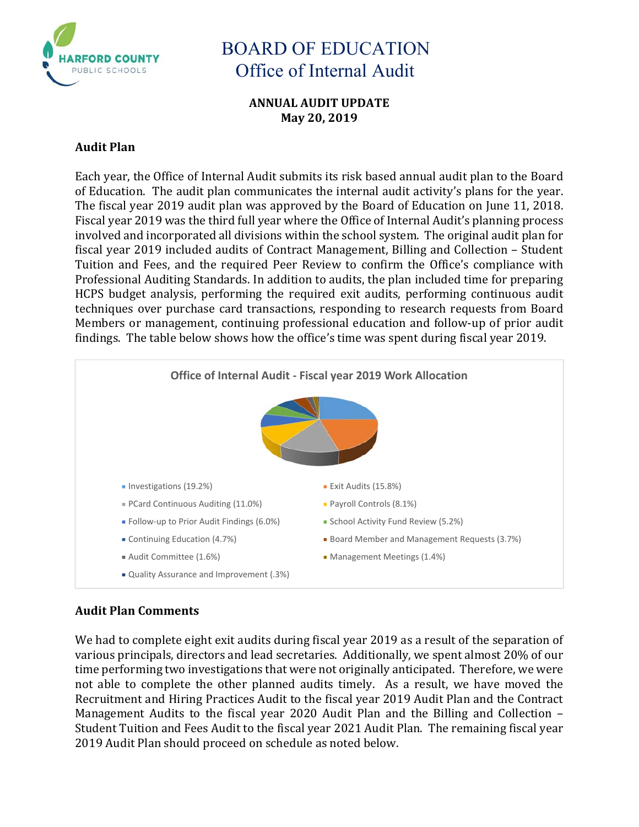

**ANNUAL AUDIT UPDATE May 20, 2019**

### **Audit Plan**

Each year, the Office of Internal Audit submits its risk based annual audit plan to the Board of Education. The audit plan communicates the internal audit activity's plans for the year. The fiscal year 2019 audit plan was approved by the Board of Education on June 11, 2018. Fiscal year 2019 was the third full year where the Office of Internal Audit's planning process involved and incorporated all divisions within the school system. The original audit plan for fiscal year 2019 included audits of Contract Management, Billing and Collection – Student Tuition and Fees, and the required Peer Review to confirm the Office's compliance with Professional Auditing Standards. In addition to audits, the plan included time for preparing HCPS budget analysis, performing the required exit audits, performing continuous audit techniques over purchase card transactions, responding to research requests from Board Members or management, continuing professional education and follow-up of prior audit findings. The table below shows how the office's time was spent during fiscal year 2019.



### **Audit Plan Comments**

We had to complete eight exit audits during fiscal year 2019 as a result of the separation of various principals, directors and lead secretaries. Additionally, we spent almost 20% of our time performing two investigations that were not originally anticipated. Therefore, we were not able to complete the other planned audits timely. As a result, we have moved the Recruitment and Hiring Practices Audit to the fiscal year 2019 Audit Plan and the Contract Management Audits to the fiscal year 2020 Audit Plan and the Billing and Collection – Student Tuition and Fees Audit to the fiscal year 2021 Audit Plan. The remaining fiscal year 2019 Audit Plan should proceed on schedule as noted below.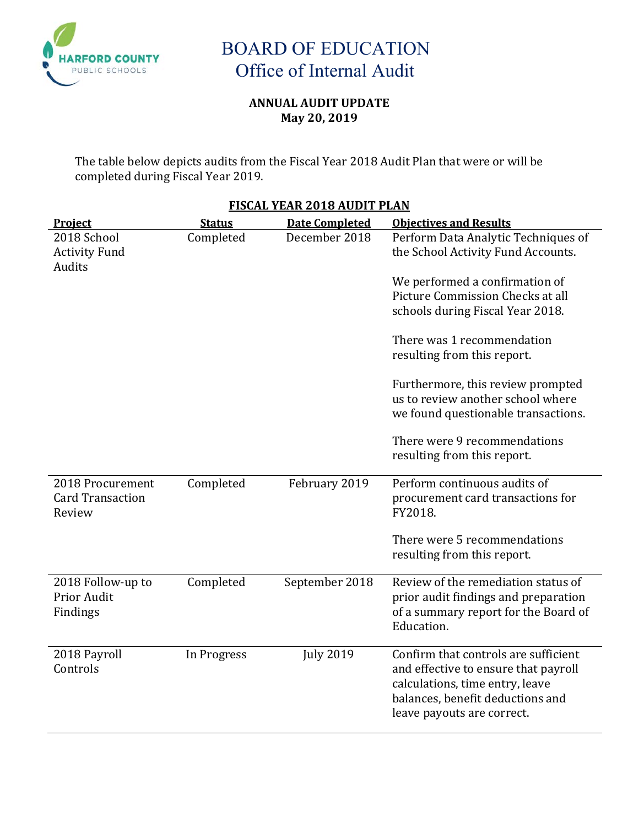

#### **ANNUAL AUDIT UPDATE May 20, 2019**

The table below depicts audits from the Fiscal Year 2018 Audit Plan that were or will be completed during Fiscal Year 2019.

#### **Project Status Date Completed Objectives** and **Results** 2018 School Activity Fund Audits Completed December 2018 Perform Data Analytic Techniques of the School Activity Fund Accounts. We performed a confirmation of Picture Commission Checks at all schools during Fiscal Year 2018. There was 1 recommendation resulting from this report. Furthermore, this review prompted us to review another school where we found questionable transactions. There were 9 recommendations resulting from this report. 2018 Procurement Card Transaction Review Completed February 2019 Perform continuous audits of procurement card transactions for FY2018. There were 5 recommendations resulting from this report. 2018 Follow-up to Prior Audit Findings Completed September 2018 Review of the remediation status of prior audit findings and preparation of a summary report for the Board of Education. 2018 Payroll Controls In Progress July 2019 Confirm that controls are sufficient and effective to ensure that payroll calculations, time entry, leave balances, benefit deductions and leave payouts are correct.

#### **FISCAL YEAR 2018 AUDIT PLAN**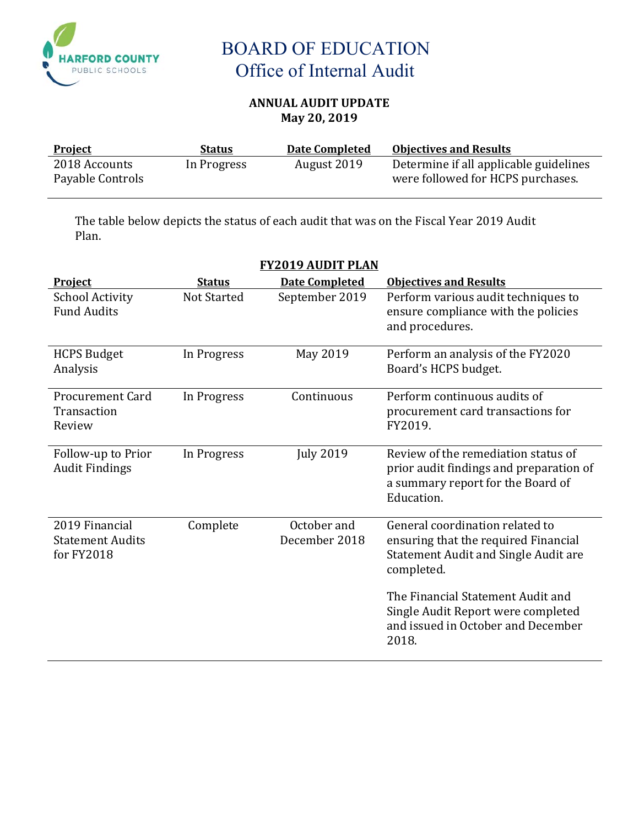

### **ANNUAL AUDIT UPDATE May 20, 2019**

| <b>Project</b>                    | <b>Status</b> | <b>Date Completed</b> | <b>Objectives and Results</b>                                               |
|-----------------------------------|---------------|-----------------------|-----------------------------------------------------------------------------|
| 2018 Accounts<br>Payable Controls | In Progress   | August 2019           | Determine if all applicable guidelines<br>were followed for HCPS purchases. |

The table below depicts the status of each audit that was on the Fiscal Year 2019 Audit Plan.

| <b>FY2019 AUDIT PLAN</b>                                |                    |                              |                                                                                                                                   |  |  |  |
|---------------------------------------------------------|--------------------|------------------------------|-----------------------------------------------------------------------------------------------------------------------------------|--|--|--|
| <b>Project</b>                                          | <b>Status</b>      | <b>Date Completed</b>        | <b>Objectives and Results</b>                                                                                                     |  |  |  |
| <b>School Activity</b><br><b>Fund Audits</b>            | <b>Not Started</b> | September 2019               | Perform various audit techniques to<br>ensure compliance with the policies<br>and procedures.                                     |  |  |  |
| <b>HCPS Budget</b><br>Analysis                          | In Progress        | May 2019                     | Perform an analysis of the FY2020<br>Board's HCPS budget.                                                                         |  |  |  |
| <b>Procurement Card</b><br>Transaction<br>Review        | In Progress        | Continuous                   | Perform continuous audits of<br>procurement card transactions for<br>FY2019.                                                      |  |  |  |
| Follow-up to Prior<br><b>Audit Findings</b>             | In Progress        | <b>July 2019</b>             | Review of the remediation status of<br>prior audit findings and preparation of<br>a summary report for the Board of<br>Education. |  |  |  |
| 2019 Financial<br><b>Statement Audits</b><br>for FY2018 | Complete           | October and<br>December 2018 | General coordination related to<br>ensuring that the required Financial<br>Statement Audit and Single Audit are<br>completed.     |  |  |  |
|                                                         |                    |                              | The Financial Statement Audit and<br>Single Audit Report were completed<br>and issued in October and December<br>2018.            |  |  |  |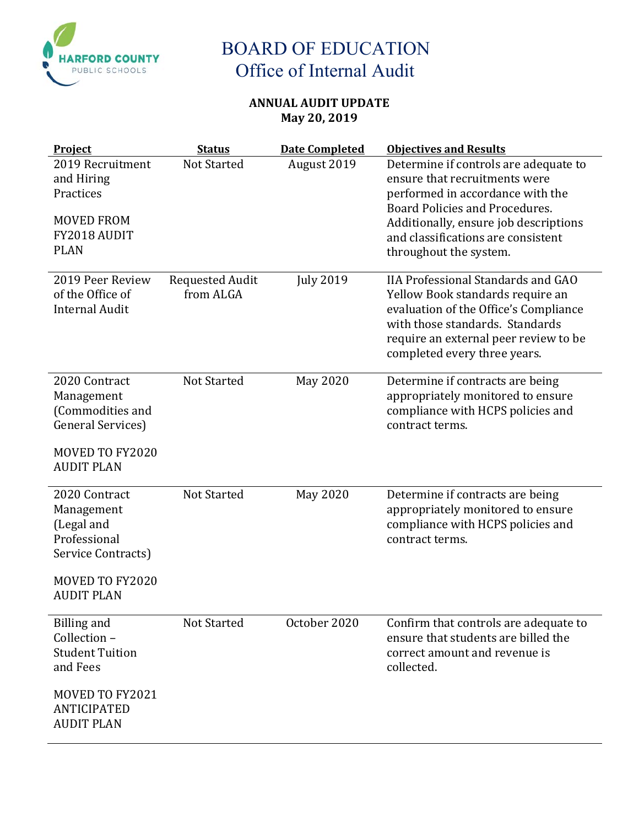

### **ANNUAL AUDIT UPDATE May 20, 2019**

| <b>Project</b>         | <b>Status</b>      | <b>Date Completed</b> | <b>Objectives and Results</b>         |
|------------------------|--------------------|-----------------------|---------------------------------------|
| 2019 Recruitment       | <b>Not Started</b> | August 2019           | Determine if controls are adequate to |
| and Hiring             |                    |                       | ensure that recruitments were         |
| Practices              |                    |                       | performed in accordance with the      |
|                        |                    |                       | Board Policies and Procedures.        |
| <b>MOVED FROM</b>      |                    |                       | Additionally, ensure job descriptions |
| FY2018 AUDIT           |                    |                       | and classifications are consistent    |
| <b>PLAN</b>            |                    |                       | throughout the system.                |
| 2019 Peer Review       | Requested Audit    | <b>July 2019</b>      | IIA Professional Standards and GAO    |
| of the Office of       | from ALGA          |                       | Yellow Book standards require an      |
| <b>Internal Audit</b>  |                    |                       | evaluation of the Office's Compliance |
|                        |                    |                       | with those standards. Standards       |
|                        |                    |                       | require an external peer review to be |
|                        |                    |                       | completed every three years.          |
| 2020 Contract          | <b>Not Started</b> | May 2020              | Determine if contracts are being      |
| Management             |                    |                       | appropriately monitored to ensure     |
| (Commodities and       |                    |                       | compliance with HCPS policies and     |
| General Services)      |                    |                       | contract terms.                       |
| MOVED TO FY2020        |                    |                       |                                       |
| <b>AUDIT PLAN</b>      |                    |                       |                                       |
| 2020 Contract          | <b>Not Started</b> | <b>May 2020</b>       | Determine if contracts are being      |
| Management             |                    |                       | appropriately monitored to ensure     |
| (Legal and             |                    |                       | compliance with HCPS policies and     |
| Professional           |                    |                       | contract terms.                       |
| Service Contracts)     |                    |                       |                                       |
| MOVED TO FY2020        |                    |                       |                                       |
| <b>AUDIT PLAN</b>      |                    |                       |                                       |
| Billing and            | Not Started        | October 2020          | Confirm that controls are adequate to |
| Collection -           |                    |                       | ensure that students are billed the   |
| <b>Student Tuition</b> |                    |                       | correct amount and revenue is         |
| and Fees               |                    |                       | collected.                            |
| MOVED TO FY2021        |                    |                       |                                       |
| <b>ANTICIPATED</b>     |                    |                       |                                       |
| <b>AUDIT PLAN</b>      |                    |                       |                                       |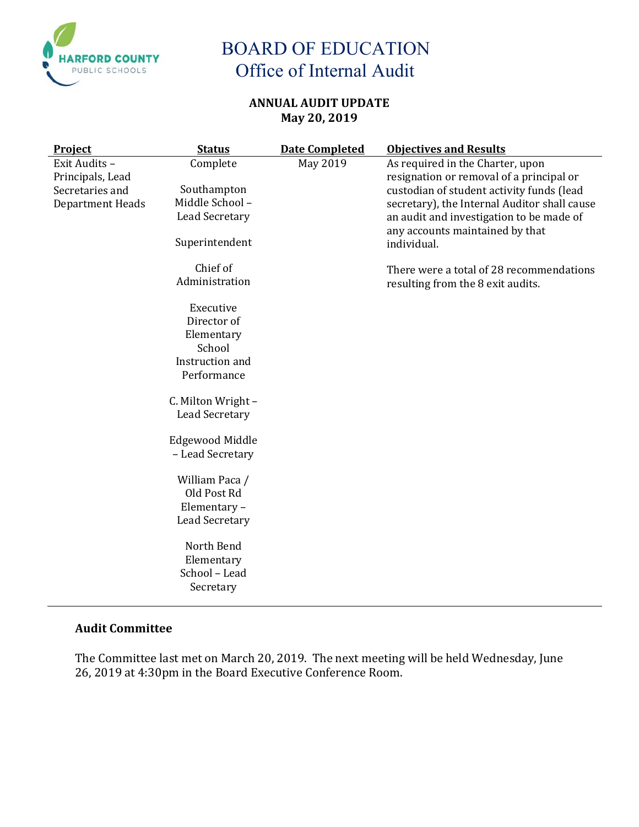

### **ANNUAL AUDIT UPDATE May 20, 2019**

| <b>Project</b>   | <b>Status</b>         | <b>Date Completed</b> | <b>Objectives and Results</b>                  |
|------------------|-----------------------|-----------------------|------------------------------------------------|
| Exit Audits -    | Complete              | May 2019              | As required in the Charter, upon               |
| Principals, Lead |                       |                       | resignation or removal of a principal or       |
| Secretaries and  | Southampton           |                       | custodian of student activity funds (lead      |
| Department Heads | Middle School-        |                       | secretary), the Internal Auditor shall cause   |
|                  | <b>Lead Secretary</b> |                       | an audit and investigation to be made of       |
|                  | Superintendent        |                       | any accounts maintained by that<br>individual. |
|                  | Chief of              |                       | There were a total of 28 recommendations       |
|                  | Administration        |                       | resulting from the 8 exit audits.              |
|                  |                       |                       |                                                |
|                  | Executive             |                       |                                                |
|                  | Director of           |                       |                                                |
|                  | Elementary            |                       |                                                |
|                  | School                |                       |                                                |
|                  | Instruction and       |                       |                                                |
|                  | Performance           |                       |                                                |
|                  | C. Milton Wright -    |                       |                                                |
|                  | <b>Lead Secretary</b> |                       |                                                |
|                  |                       |                       |                                                |
|                  | Edgewood Middle       |                       |                                                |
|                  | - Lead Secretary      |                       |                                                |
|                  | William Paca /        |                       |                                                |
|                  | Old Post Rd           |                       |                                                |
|                  | Elementary-           |                       |                                                |
|                  | <b>Lead Secretary</b> |                       |                                                |
|                  |                       |                       |                                                |
|                  | North Bend            |                       |                                                |
|                  | Elementary            |                       |                                                |
|                  | School - Lead         |                       |                                                |
|                  | Secretary             |                       |                                                |
|                  |                       |                       |                                                |

### **Audit Committee**

The Committee last met on March 20, 2019. The next meeting will be held Wednesday, June 26, 2019 at 4:30pm in the Board Executive Conference Room.